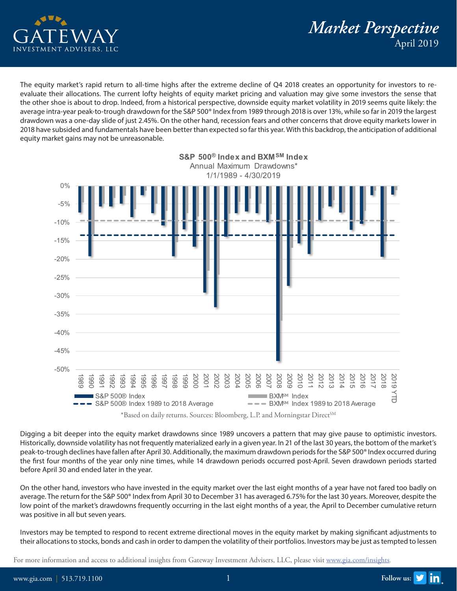

*Market Perspective* April 2019

The equity market's rapid return to all-time highs after the extreme decline of Q4 2018 creates an opportunity for investors to reevaluate their allocations. The current lofty heights of equity market pricing and valuation may give some investors the sense that the other shoe is about to drop. Indeed, from a historical perspective, downside equity market volatility in 2019 seems quite likely: the average intra-year peak-to-trough drawdown for the S&P 500® Index from 1989 through 2018 is over 13%, while so far in 2019 the largest drawdown was a one-day slide of just 2.45%. On the other hand, recession fears and other concerns that drove equity markets lower in 2018 have subsided and fundamentals have been better than expected so far this year. With this backdrop, the anticipation of additional equity market gains may not be unreasonable.



<sup>\*</sup>Based on daily returns. Sources: Bloomberg, L.P. and Morningstar Direct<sup>SM</sup>

Digging a bit deeper into the equity market drawdowns since 1989 uncovers a pattern that may give pause to optimistic investors. Historically, downside volatility has not frequently materialized early in a given year. In 21 of the last 30 years, the bottom of the market's peak-to-trough declines have fallen after April 30. Additionally, the maximum drawdown periods for the S&P 500® Index occurred during the first four months of the year only nine times, while 14 drawdown periods occurred post-April. Seven drawdown periods started before April 30 and ended later in the year.

On the other hand, investors who have invested in the equity market over the last eight months of a year have not fared too badly on average. The return for the S&P 500® Index from April 30 to December 31 has averaged 6.75% for the last 30 years. Moreover, despite the low point of the market's drawdowns frequently occurring in the last eight months of a year, the April to December cumulative return was positive in all but seven years.

Investors may be tempted to respond to recent extreme directional moves in the equity market by making significant adjustments to their allocations to stocks, bonds and cash in order to dampen the volatility of their portfolios. Investors may be just as tempted to lessen

For more information and access to additional insights from Gateway Investment Advisers, LLC, please visit [www.gia.com/insights](http://www.gia.com/insights).